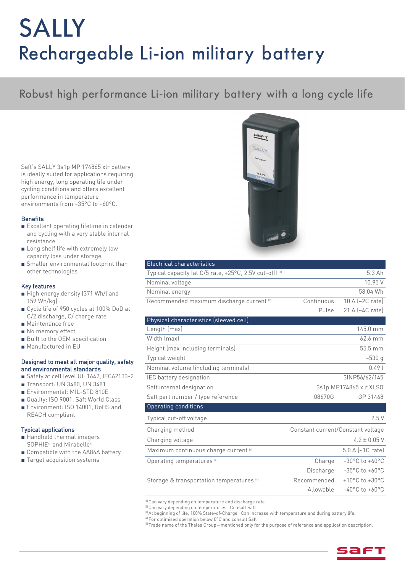# SALLY Rechargeable Li-ion military battery

## Robust high performance Li -ion military battery with a long cycle life

Saft's SALLY 3s1p MP 174865 xlr battery<br>is ideally suited for applications requiring high energy, long operating life under cycling conditions and offers excellent performance in temperature n<br>environments from -35°C to :

- Excellent operating lifetime in calendar<br>and cycling with a yery stable internal and cycling with a very stable internal
- Long shelf life with extremely low
- Smaller environmental footprint than<br>ather technologies other technologies

- High energy density (371 Wh/l and<br>159 Wh/kg)
- Cycle life of 950 cycles at 100% DoD at<br>  $\frac{1}{2}$  discharge  $\frac{1}{2}$  charge rate
- Maintenance free<br>■ No memory effect
- No memory effect
- Built to the OEM specification
- Manufactured in EU

## Designed to meet all major quality, safety

- Safety at cell level UL 1642, IEC62133-2<br>■ Safety at cell level UL 1642, IEC62133-2
- Transport: UN 3480, UN 3481
- Environmental: MIL-STD 810E
- Quality: ISO 9001, Saft World Class
- Environment: ISO 14001, RoHS and REACH compliant

- Handheld thermal imagers<br>SOPHE51 and Mirabollos
- SOPHIE5 and Mirabelle5)<br>
Compatible with the AA86A battery<br>
Target acquisition systems
- Target acquisition systems



| <b>Electrical characteristics</b>                       |                                   |                                      |
|---------------------------------------------------------|-----------------------------------|--------------------------------------|
| Typical capacity (at C/5 rate, +25°C, 2.5V cut-off) (1) |                                   | 5.3 Ah                               |
| Nominal voltage                                         |                                   | 10.95V                               |
| Nominal energy                                          |                                   | 58.04 Wh                             |
| Recommended maximum discharge current <sup>(2)</sup>    | Continuous                        | $10 A$ $\left[-2C \right]$ rate)     |
|                                                         | Pulse                             | 21 A (~4C rate)                      |
| Physical characteristics (sleeved cell)                 |                                   |                                      |
| Length (max)                                            |                                   | 145.0 mm                             |
| Width (max)                                             |                                   | 62.6 mm                              |
| Height (max including terminals)                        |                                   | 55.5 mm                              |
| Typical weight                                          |                                   | $-530q$                              |
| Nominal volume (including terminals)                    |                                   | 0.491                                |
| IEC battery designation                                 |                                   | 3INP56/62/145                        |
| Saft internal designation                               | 3s1p MP174865 xlr XLSO            |                                      |
| Saft part number / type reference                       | 08670G                            | GP 31468                             |
| Operating conditions                                    |                                   |                                      |
| Typical cut-off voltage                                 |                                   | 2.5V                                 |
| Charging method                                         | Constant current/Constant voltage |                                      |
| Charging voltage                                        |                                   | $4.2 \pm 0.05$ V                     |
| Maximum continuous charge current <sup>(4)</sup>        |                                   | $5.0 A (-1C rate)$                   |
| Operating temperatures <sup>[4]</sup>                   | Charge                            | $-30^{\circ}$ C to $+60^{\circ}$ C   |
|                                                         | Discharge                         | $-35^{\circ}$ C to $+60^{\circ}$ C   |
| Storage & transportation temperatures <sup>[4]</sup>    | Recommended                       | +10 $^{\circ}$ C to +30 $^{\circ}$ C |
|                                                         | Allowable                         | $-40^{\circ}$ C to $+60^{\circ}$ C   |
|                                                         |                                   |                                      |

<sup>or</sup> Can vary depending on temperature and discharge rate<br><sup>(2)</sup> Can vary depending on temperatures - Consult Saft

<sup>er</sup> Can vary depending on temperatures. Consult Saft<br><sup>3</sup> At beginning of life, 100% State-of-Charge, Can inc <sup>er</sup> At beginning of the, 100% State-of-Charge. Can increase with temperature and during battery the.<br><sup>[4]</sup> Eer entimiced eneration below 0°C and concult Saft

 $^{16}$  For optimised operation below 0°C and consult Saft<br><sup>(5)</sup> Trade name of the Thales Groun—mentioned only fi  $\sim$  frade name of the Thales Group—mentioned only for the purpose of reference and application description.